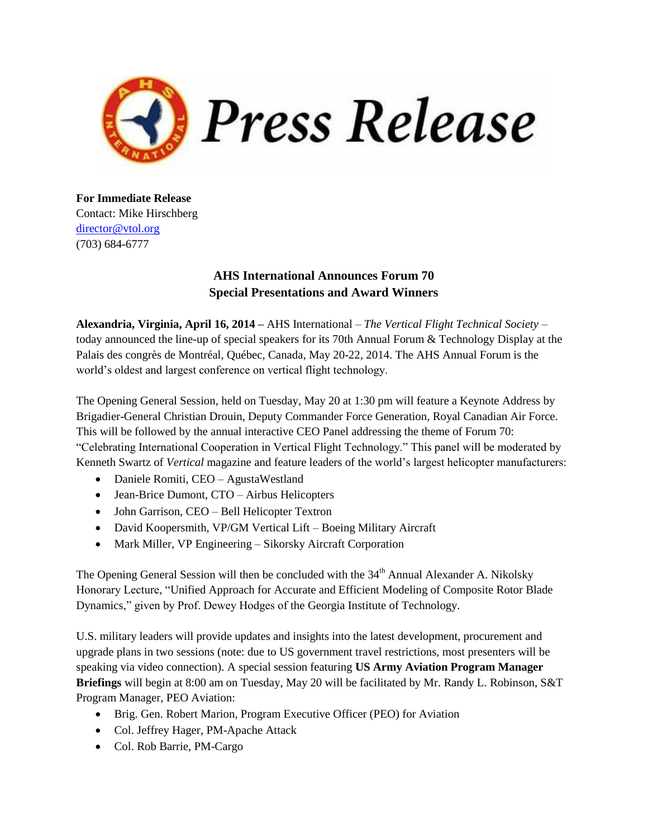

**For Immediate Release** Contact: Mike Hirschberg [director@vtol.org](mailto:director@vtol.org) (703) 684-6777

## **AHS International Announces Forum 70 Special Presentations and Award Winners**

**Alexandria, Virginia, April 16, 2014 –** AHS International – *The Vertical Flight Technical Society* – today announced the line-up of special speakers for its 70th Annual Forum & Technology Display at the Palais des congrès de Montréal, Québec, Canada, May 20-22, 2014. The AHS Annual Forum is the world's oldest and largest conference on vertical flight technology.

The Opening General Session, held on Tuesday, May 20 at 1:30 pm will feature a Keynote Address by Brigadier-General Christian Drouin, Deputy Commander Force Generation, Royal Canadian Air Force. This will be followed by the annual interactive CEO Panel addressing the theme of Forum 70: "Celebrating International Cooperation in Vertical Flight Technology." This panel will be moderated by Kenneth Swartz of *Vertical* magazine and feature leaders of the world's largest helicopter manufacturers:

- Daniele Romiti, CEO AgustaWestland
- Jean-Brice Dumont, CTO Airbus Helicopters
- John Garrison, CEO Bell Helicopter Textron
- David Koopersmith, VP/GM Vertical Lift Boeing Military Aircraft
- Mark Miller, VP Engineering Sikorsky Aircraft Corporation

The Opening General Session will then be concluded with the  $34<sup>th</sup>$  Annual Alexander A. Nikolsky Honorary Lecture, "Unified Approach for Accurate and Efficient Modeling of Composite Rotor Blade Dynamics," given by Prof. Dewey Hodges of the Georgia Institute of Technology.

U.S. military leaders will provide updates and insights into the latest development, procurement and upgrade plans in two sessions (note: due to US government travel restrictions, most presenters will be speaking via video connection). A special session featuring **US Army Aviation Program Manager Briefings** will begin at 8:00 am on Tuesday, May 20 will be facilitated by Mr. Randy L. Robinson, S&T Program Manager, PEO Aviation:

- Brig. Gen. Robert Marion, Program Executive Officer (PEO) for Aviation
- Col. Jeffrey Hager, PM-Apache Attack
- Col. Rob Barrie, PM-Cargo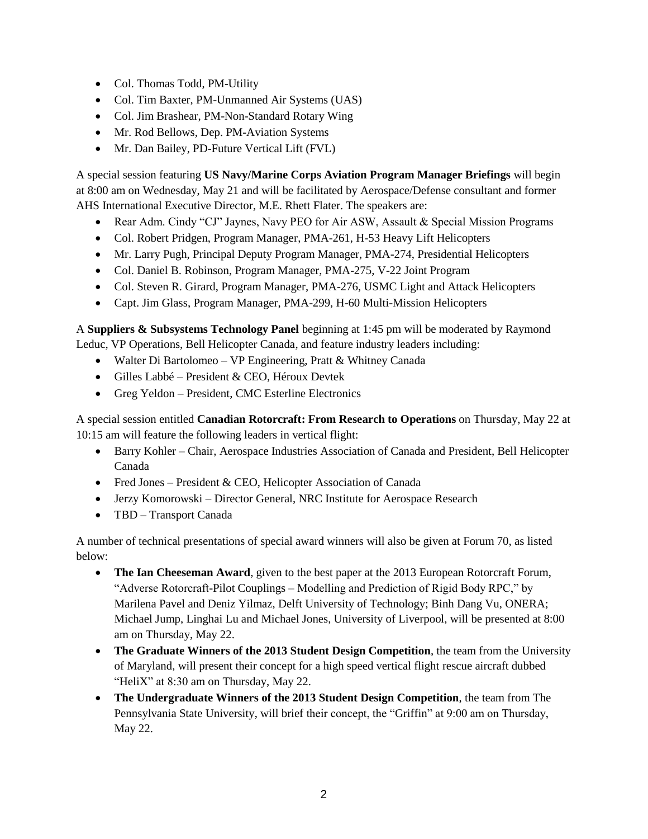- Col. Thomas Todd, PM-Utility
- Col. Tim Baxter, PM-Unmanned Air Systems (UAS)
- Col. Jim Brashear, PM-Non-Standard Rotary Wing
- Mr. Rod Bellows, Dep. PM-Aviation Systems
- Mr. Dan Bailey, PD-Future Vertical Lift (FVL)

A special session featuring **US Navy/Marine Corps Aviation Program Manager Briefings** will begin at 8:00 am on Wednesday, May 21 and will be facilitated by Aerospace/Defense consultant and former AHS International Executive Director, M.E. Rhett Flater. The speakers are:

- Rear Adm. Cindy "CJ" Jaynes, Navy PEO for Air ASW, Assault & Special Mission Programs
- Col. Robert Pridgen, Program Manager, PMA-261, H-53 Heavy Lift Helicopters
- Mr. Larry Pugh, Principal Deputy Program Manager, PMA-274, Presidential Helicopters
- Col. Daniel B. Robinson, Program Manager, PMA-275, V-22 Joint Program
- Col. Steven R. Girard, Program Manager, PMA-276, USMC Light and Attack Helicopters
- Capt. Jim Glass, Program Manager, PMA-299, H-60 Multi-Mission Helicopters

A **Suppliers & Subsystems Technology Panel** beginning at 1:45 pm will be moderated by Raymond Leduc, VP Operations, Bell Helicopter Canada, and feature industry leaders including:

- Walter Di Bartolomeo VP Engineering, Pratt & Whitney Canada
- Gilles Labbé President & CEO, Héroux Devtek
- Greg Yeldon President, CMC Esterline Electronics

A special session entitled **Canadian Rotorcraft: From Research to Operations** on Thursday, May 22 at 10:15 am will feature the following leaders in vertical flight:

- Barry Kohler Chair, Aerospace Industries Association of Canada and President, Bell Helicopter Canada
- Fred Jones President & CEO, Helicopter Association of Canada
- Jerzy Komorowski Director General, NRC Institute for Aerospace Research
- TBD Transport Canada

A number of technical presentations of special award winners will also be given at Forum 70, as listed below:

- **The Ian Cheeseman Award**, given to the best paper at the 2013 European Rotorcraft Forum, "Adverse Rotorcraft-Pilot Couplings – Modelling and Prediction of Rigid Body RPC," by Marilena Pavel and Deniz Yilmaz, Delft University of Technology; Binh Dang Vu, ONERA; Michael Jump, Linghai Lu and Michael Jones, University of Liverpool, will be presented at 8:00 am on Thursday, May 22.
- **The Graduate Winners of the 2013 Student Design Competition**, the team from the University of Maryland, will present their concept for a high speed vertical flight rescue aircraft dubbed "HeliX" at 8:30 am on Thursday, May 22.
- **The Undergraduate Winners of the 2013 Student Design Competition**, the team from The Pennsylvania State University, will brief their concept, the "Griffin" at 9:00 am on Thursday, May 22.